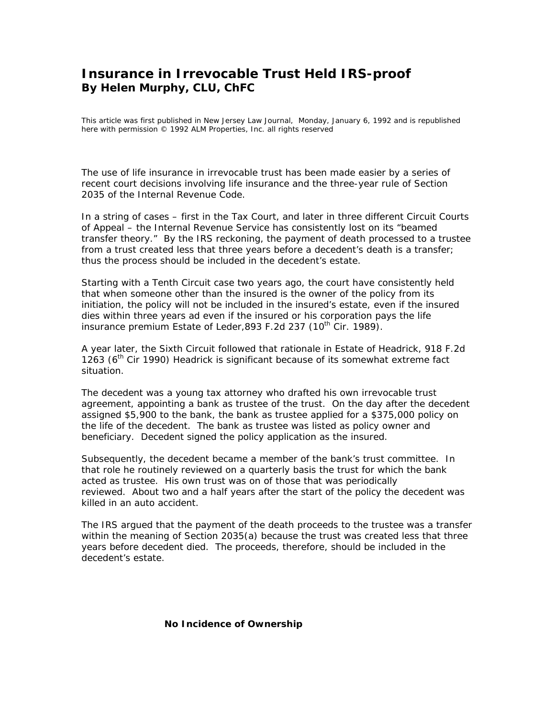# **Insurance in Irrevocable Trust Held IRS-proof**  *By Helen Murphy, CLU, ChFC*

This article was first published in New Jersey Law Journal, Monday, January 6, 1992 and is republished here with permission © 1992 ALM Properties, Inc. all rights reserved

The use of life insurance in irrevocable trust has been made easier by a series of recent court decisions involving life insurance and the three-year rule of Section 2035 of the Internal Revenue Code.

In a string of cases – first in the Tax Court, and later in three different Circuit Courts of Appeal – the Internal Revenue Service has consistently lost on its "beamed transfer theory." By the IRS reckoning, the payment of death processed to a trustee from a trust created less that three years before a decedent's death is a transfer; thus the process should be included in the decedent's estate.

Starting with a Tenth Circuit case two years ago, the court have consistently held that when someone other than the insured is the owner of the policy from its initiation, the policy will not be included in the insured's estate, even if the insured dies within three years ad even if the insured or his corporation pays the life insurance premium *Estate of Leder*, 893 F.2d 237 (10<sup>th</sup> Cir. 1989).

A year later, the Sixth Circuit followed that rationale in *Estate of Headrick,* 918 F.2d 1263 (6th Cir 1990) *Headrick* is significant because of its somewhat extreme fact situation.

The decedent was a young tax attorney who drafted his own irrevocable trust agreement, appointing a bank as trustee of the trust. On the day after the decedent assigned \$5,900 to the bank, the bank as trustee applied for a \$375,000 policy on the life of the decedent. The bank as trustee was listed as policy owner and beneficiary. Decedent signed the policy application as the insured.

Subsequently, the decedent became a member of the bank's trust committee. In that role he routinely reviewed on a quarterly basis the trust for which the bank acted as trustee. His own trust was on of those that was periodically reviewed. About two and a half years after the start of the policy the decedent was killed in an auto accident.

The IRS argued that the payment of the death proceeds to the trustee was a transfer within the meaning of Section 2035(a) because the trust was created less that three years before decedent died. The proceeds, therefore, should be included in the decedent's estate.

#### **No Incidence of Ownership**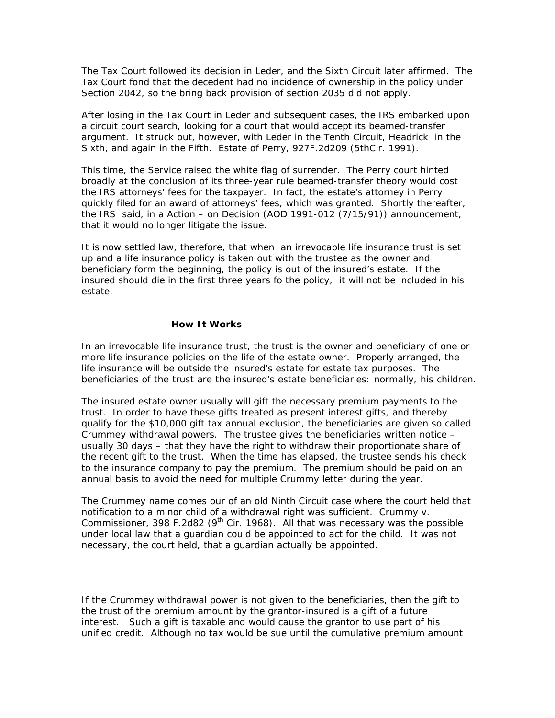The Tax Court followed its decision in *Leder*, and the Sixth Circuit later affirmed. The Tax Court fond that the decedent had no incidence of ownership in the policy under Section 2042, so the bring back provision of section 2035 did not apply.

After losing in the Tax Court in *Leder* and subsequent cases, the IRS embarked upon a circuit court search, looking for a court that would accept its beamed-transfer argument. It struck out, however, with *Leder* in the Tenth Circuit, *Headrick* in the Sixth, and again in the Fifth. *Estate of Perry*, 927F.2d209 (5thCir. 1991).

This time, the Service raised the white flag of surrender. The *Perry* court hinted broadly at the conclusion of its three-year rule beamed-transfer theory would cost the IRS attorneys' fees for the taxpayer. In fact, the estate's attorney in *Perry*  quickly filed for an award of attorneys' fees, which was granted. Shortly thereafter, the IRS said, in a Action – on Decision (AOD 1991-012 (7/15/91)) announcement, that it would no longer litigate the issue.

It is now settled law, therefore, that when an irrevocable life insurance trust is set up and a life insurance policy is taken out with the trustee as the owner and beneficiary form the beginning, the policy is out of the insured's estate. If the insured should die in the first three years fo the policy, it will not be included in his estate.

### **How It Works**

In an irrevocable life insurance trust, the trust is the owner and beneficiary of one or more life insurance policies on the life of the estate owner. Properly arranged, the life insurance will be outside the insured's estate for estate tax purposes. The beneficiaries of the trust are the insured's estate beneficiaries: normally, his children.

The insured estate owner usually will gift the necessary premium payments to the trust. In order to have these gifts treated as present interest gifts, and thereby qualify for the \$10,000 gift tax annual exclusion, the beneficiaries are given so called Crummey withdrawal powers. The trustee gives the beneficiaries written notice – usually 30 days – that they have the right to withdraw their proportionate share of the recent gift to the trust. When the time has elapsed, the trustee sends his check to the insurance company to pay the premium. The premium should be paid on an annual basis to avoid the need for multiple Crummy letter during the year.

The Crummey name comes our of an old Ninth Circuit case where the court held that notification to a minor child of a withdrawal right was sufficient. *Crummy v. Commissioner*, 398 F.2d82 (9<sup>th</sup> Cir. 1968). All that was necessary was the possible under local law that a guardian could be appointed to act for the child. It was not necessary, the court held, that a guardian actually be appointed.

If the Crummey withdrawal power is not given to the beneficiaries, then the gift to the trust of the premium amount by the grantor-insured is a gift of a future interest. Such a gift is taxable and would cause the grantor to use part of his unified credit. Although no tax would be sue until the cumulative premium amount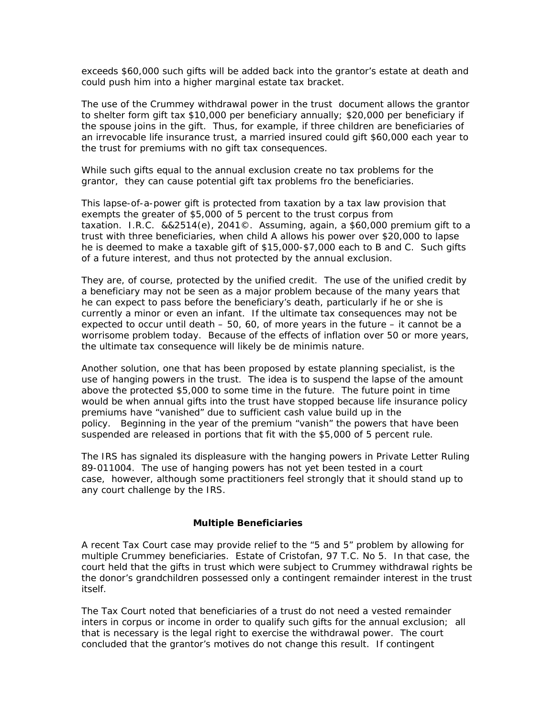exceeds \$60,000 such gifts will be added back into the grantor's estate at death and could push him into a higher marginal estate tax bracket.

The use of the Crummey withdrawal power in the trust document allows the grantor to shelter form gift tax \$10,000 per beneficiary annually; \$20,000 per beneficiary if the spouse joins in the gift. Thus, for example, if three children are beneficiaries of an irrevocable life insurance trust, a married insured could gift \$60,000 each year to the trust for premiums with no gift tax consequences.

While such gifts equal to the annual exclusion create no tax problems for the grantor, they can cause potential gift tax problems fro the beneficiaries.

This lapse-of-a-power gift is protected from taxation by a tax law provision that exempts the greater of \$5,000 of 5 percent to the trust corpus from taxation. I.R.C. &&2514(e), 2041©. Assuming, again, a \$60,000 premium gift to a trust with three beneficiaries, when child A allows his power over \$20,000 to lapse he is deemed to make a taxable gift of \$15,000-\$7,000 each to B and C. Such gifts of a future interest, and thus not protected by the annual exclusion.

They are, of course, protected by the unified credit. The use of the unified credit by a beneficiary may not be seen as a major problem because of the many years that he can expect to pass before the beneficiary's death, particularly if he or she is currently a minor or even an infant. If the ultimate tax consequences may not be expected to occur until death – 50, 60, of more years in the future – it cannot be a worrisome problem today. Because of the effects of inflation over 50 or more years, the ultimate tax consequence will likely be de minimis nature.

Another solution, one that has been proposed by estate planning specialist, is the use of hanging powers in the trust. The idea is to suspend the lapse of the amount above the protected \$5,000 to some time in the future. The future point in time would be when annual gifts into the trust have stopped because life insurance policy premiums have "vanished" due to sufficient cash value build up in the policy. Beginning in the year of the premium "vanish" the powers that have been suspended are released in portions that fit with the \$5,000 of 5 percent rule.

The IRS has signaled its displeasure with the hanging powers in Private Letter Ruling 89-011004. The use of hanging powers has not yet been tested in a court case, however, although some practitioners feel strongly that it should stand up to any court challenge by the IRS.

#### **Multiple Beneficiaries**

A recent Tax Court case may provide relief to the "5 and 5" problem by allowing for multiple Crummey beneficiaries. *Estate of Cristofan*, 97 T.C. No 5. In that case, the court held that the gifts in trust which were subject to Crummey withdrawal rights be the donor's grandchildren possessed only a contingent remainder interest in the trust itself.

The Tax Court noted that beneficiaries of a trust do not need a vested remainder inters in corpus or income in order to qualify such gifts for the annual exclusion; all that is necessary is the legal right to exercise the withdrawal power. The court concluded that the grantor's motives do not change this result. If contingent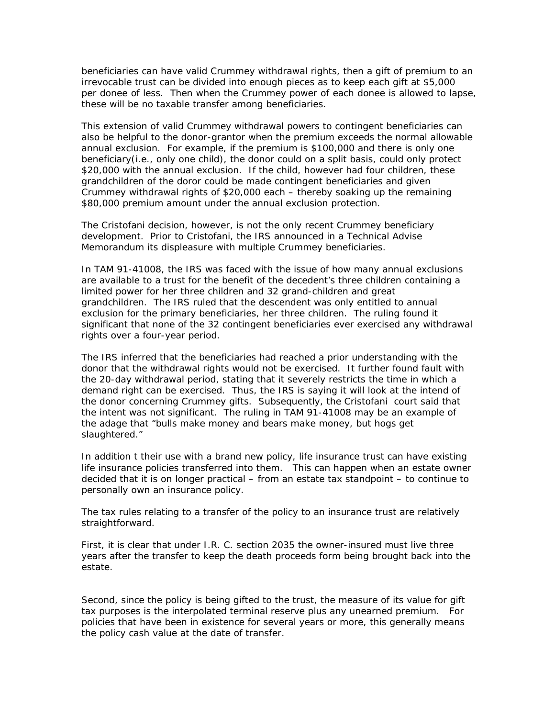beneficiaries can have valid Crummey withdrawal rights, then a gift of premium to an irrevocable trust can be divided into enough pieces as to keep each gift at \$5,000 per donee of less. Then when the Crummey power of each donee is allowed to lapse, these will be no taxable transfer among beneficiaries.

This extension of valid Crummey withdrawal powers to contingent beneficiaries can also be helpful to the donor-grantor when the premium exceeds the normal allowable annual exclusion. For example, if the premium is \$100,000 and there is only one beneficiary(i.e., only one child), the donor could on a split basis, could only protect \$20,000 with the annual exclusion. If the child, however had four children, these grandchildren of the doror could be made contingent beneficiaries and given Crummey withdrawal rights of \$20,000 each – thereby soaking up the remaining \$80,000 premium amount under the annual exclusion protection.

The *Cristofani* decision, however, is not the only recent Crummey beneficiary development. Prior to *Cristofani,* the IRS announced in a Technical Advise Memorandum its displeasure with multiple Crummey beneficiaries.

In TAM 91-41008, the IRS was faced with the issue of how many annual exclusions are available to a trust for the benefit of the decedent's three children containing a limited power for her three children and 32 grand-children and great grandchildren. The IRS ruled that the descendent was only entitled to annual exclusion for the primary beneficiaries, her three children. The ruling found it significant that none of the 32 contingent beneficiaries ever exercised any withdrawal rights over a four-year period.

The IRS inferred that the beneficiaries had reached a prior understanding with the donor that the withdrawal rights would not be exercised. It further found fault with the 20-day withdrawal period, stating that it severely restricts the time in which a demand right can be exercised. Thus, the IRS is saying it will look at the intend of the donor concerning Crummey gifts. Subsequently, the *Cristofani* court said that the intent was not significant. The ruling in TAM 91-41008 may be an example of the adage that "bulls make money and bears make money, but hogs get slaughtered."

In addition t their use with a brand new policy, life insurance trust can have existing life insurance policies transferred into them. This can happen when an estate owner decided that it is on longer practical – from an estate tax standpoint – to continue to personally own an insurance policy.

The tax rules relating to a transfer of the policy to an insurance trust are relatively straightforward.

First, it is clear that under I.R. C. section 2035 the owner-insured must live three years after the transfer to keep the death proceeds form being brought back into the estate.

Second, since the policy is being gifted to the trust, the measure of its value for gift tax purposes is the interpolated terminal reserve plus any unearned premium. For policies that have been in existence for several years or more, this generally means the policy cash value at the date of transfer.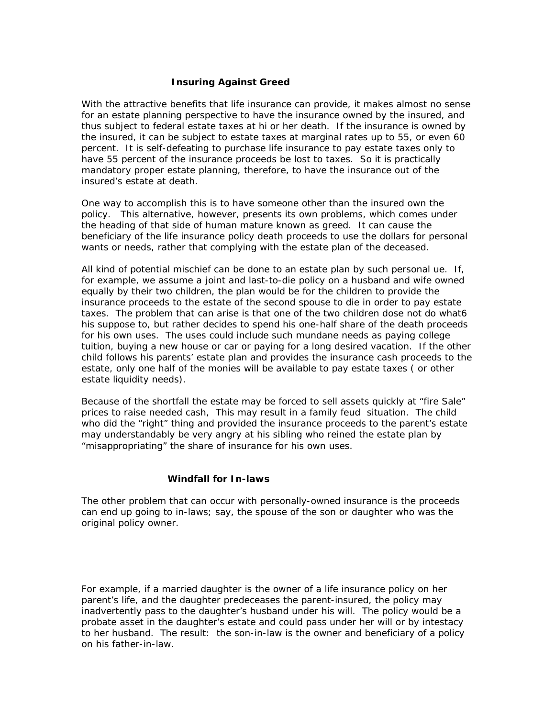## **Insuring Against Greed**

With the attractive benefits that life insurance can provide, it makes almost no sense for an estate planning perspective to have the insurance owned by the insured, and thus subject to federal estate taxes at hi or her death. If the insurance is owned by the insured, it can be subject to estate taxes at marginal rates up to 55, or even 60 percent. It is self-defeating to purchase life insurance to pay estate taxes only to have 55 percent of the insurance proceeds be lost to taxes. So it is practically mandatory proper estate planning, therefore, to have the insurance out of the insured's estate at death.

One way to accomplish this is to have someone other than the insured own the policy. This alternative, however, presents its own problems, which comes under the heading of that side of human mature known as greed. It can cause the beneficiary of the life insurance policy death proceeds to use the dollars for personal wants or needs, rather that complying with the estate plan of the deceased.

All kind of potential mischief can be done to an estate plan by such personal ue. If, for example, we assume a joint and last-to-die policy on a husband and wife owned equally by their two children, the plan would be for the children to provide the insurance proceeds to the estate of the second spouse to die in order to pay estate taxes. The problem that can arise is that one of the two children dose not do what6 his suppose to, but rather decides to spend his one-half share of the death proceeds for his own uses. The uses could include such mundane needs as paying college tuition, buying a new house or car or paying for a long desired vacation. If the other child follows his parents' estate plan and provides the insurance cash proceeds to the estate, only one half of the monies will be available to pay estate taxes ( or other estate liquidity needs).

Because of the shortfall the estate may be forced to sell assets quickly at "fire Sale" prices to raise needed cash, This may result in a family feud situation. The child who did the "right" thing and provided the insurance proceeds to the parent's estate may understandably be very angry at his sibling who reined the estate plan by "misappropriating" the share of insurance for his own uses.

#### **Windfall for In-laws**

The other problem that can occur with personally-owned insurance is the proceeds can end up going to in-laws; say, the spouse of the son or daughter who was the original policy owner.

For example, if a married daughter is the owner of a life insurance policy on her parent's life, and the daughter predeceases the parent-insured, the policy may inadvertently pass to the daughter's husband under his will. The policy would be a probate asset in the daughter's estate and could pass under her will or by intestacy to her husband. The result: the son-in-law is the owner and beneficiary of a policy on his father-in-law.